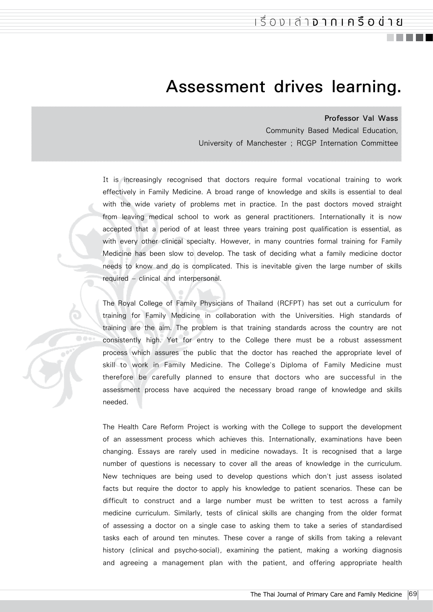## **Assessment drives learning.**

## **Professor Val Wass**

Community Based Medical Education, University of Manchester ; RCGP Internation Committee

It is increasingly recognised that doctors require formal vocational training to work effectively in Family Medicine. A broad range of knowledge and skills is essential to deal with the wide variety of problems met in practice. In the past doctors moved straight from leaving medical school to work as general practitioners. Internationally it is now accepted that a period of at least three years training post qualification is essential, as with every other clinical specialty. However, in many countries formal training for Family Medicine has been slow to develop. The task of deciding what a family medicine doctor needs to know and do is complicated. This is inevitable given the large number of skills required – clinical and interpersonal.

The Royal College of Family Physicians of Thailand (RCFPT) has set out a curriculum for training for Family Medicine in collaboration with the Universities. High standards of training are the aim. The problem is that training standards across the country are not consistently high. Yet for entry to the College there must be a robust assessment process which assures the public that the doctor has reached the appropriate level of skill to work in Family Medicine. The College's Diploma of Family Medicine must therefore be carefully planned to ensure that doctors who are successful in the assessment process have acquired the necessary broad range of knowledge and skills needed.

The Health Care Reform Project is working with the College to support the development of an assessment process which achieves this. Internationally, examinations have been changing. Essays are rarely used in medicine nowadays. It is recognised that a large number of questions is necessary to cover all the areas of knowledge in the curriculum. New techniques are being used to develop questions which don't just assess isolated facts but require the doctor to apply his knowledge to patient scenarios. These can be difficult to construct and a large number must be written to test across a family medicine curriculum. Similarly, tests of clinical skills are changing from the older format of assessing a doctor on a single case to asking them to take a series of standardised tasks each of around ten minutes. These cover a range of skills from taking a relevant history (clinical and psycho-social), examining the patient, making a working diagnosis and agreeing a management plan with the patient, and offering appropriate health